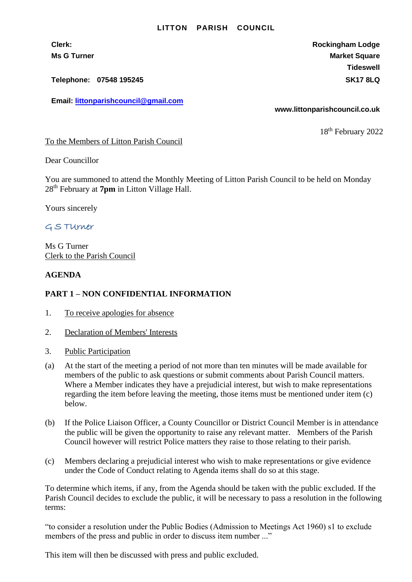## **LITTON PARISH COUNCIL**

**Telephone: 07548 195245 SK17 8LQ**

**Email: [littonparishcouncil@gmail.com](mailto:littonparishcouncil@gmail.com)**

**Clerk: Rockingham Lodge Ms G Turner Market Square** Market Square Market Square Market Square **Tideswell**

**www.littonparishcouncil.co.uk**

18th February 2022

To the Members of Litton Parish Council

Dear Councillor

You are summoned to attend the Monthly Meeting of Litton Parish Council to be held on Monday 28th February at **7pm** in Litton Village Hall.

Yours sincerely

## G S TUrner

Ms G Turner Clerk to the Parish Council

## **AGENDA**

## **PART 1 – NON CONFIDENTIAL INFORMATION**

- 1. To receive apologies for absence
- 2. Declaration of Members' Interests
- 3. Public Participation
- (a) At the start of the meeting a period of not more than ten minutes will be made available for members of the public to ask questions or submit comments about Parish Council matters. Where a Member indicates they have a prejudicial interest, but wish to make representations regarding the item before leaving the meeting, those items must be mentioned under item (c) below.
- (b) If the Police Liaison Officer, a County Councillor or District Council Member is in attendance the public will be given the opportunity to raise any relevant matter. Members of the Parish Council however will restrict Police matters they raise to those relating to their parish.
- (c) Members declaring a prejudicial interest who wish to make representations or give evidence under the Code of Conduct relating to Agenda items shall do so at this stage.

To determine which items, if any, from the Agenda should be taken with the public excluded. If the Parish Council decides to exclude the public, it will be necessary to pass a resolution in the following terms:

"to consider a resolution under the Public Bodies (Admission to Meetings Act 1960) s1 to exclude members of the press and public in order to discuss item number ..."

This item will then be discussed with press and public excluded.